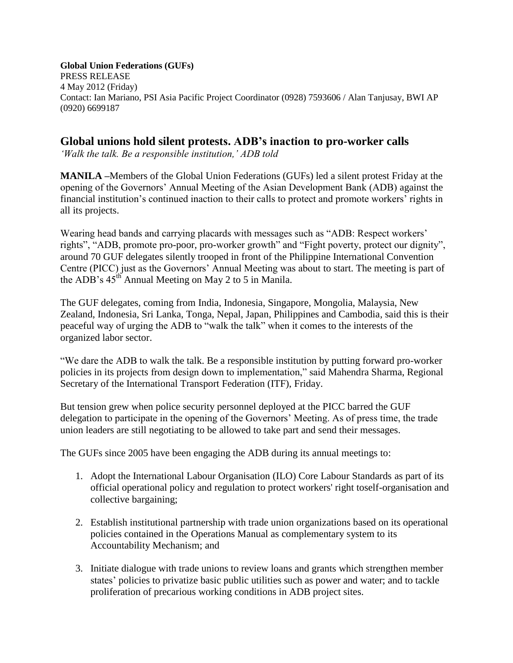**Global Union Federations (GUFs)** PRESS RELEASE 4 May 2012 (Friday) Contact: Ian Mariano, PSI Asia Pacific Project Coordinator (0928) 7593606 / Alan Tanjusay, BWI AP (0920) 6699187

## **Global unions hold silent protests. ADB's inaction to pro-worker calls**

*'Walk the talk. Be a responsible institution,' ADB told* 

**MANILA –**Members of the Global Union Federations (GUFs) led a silent protest Friday at the opening of the Governors' Annual Meeting of the Asian Development Bank (ADB) against the financial institution's continued inaction to their calls to protect and promote workers' rights in all its projects.

Wearing head bands and carrying placards with messages such as "ADB: Respect workers' rights", "ADB, promote pro-poor, pro-worker growth" and "Fight poverty, protect our dignity", around 70 GUF delegates silently trooped in front of the Philippine International Convention Centre (PICC) just as the Governors' Annual Meeting was about to start. The meeting is part of the ADB's  $45<sup>th</sup>$  Annual Meeting on May 2 to 5 in Manila.

The GUF delegates, coming from India, Indonesia, Singapore, Mongolia, Malaysia, New Zealand, Indonesia, Sri Lanka, Tonga, Nepal, Japan, Philippines and Cambodia, said this is their peaceful way of urging the ADB to "walk the talk" when it comes to the interests of the organized labor sector.

"We dare the ADB to walk the talk. Be a responsible institution by putting forward pro-worker policies in its projects from design down to implementation," said Mahendra Sharma, Regional Secretary of the International Transport Federation (ITF), Friday.

But tension grew when police security personnel deployed at the PICC barred the GUF delegation to participate in the opening of the Governors' Meeting. As of press time, the trade union leaders are still negotiating to be allowed to take part and send their messages.

The GUFs since 2005 have been engaging the ADB during its annual meetings to:

- 1. Adopt the International Labour Organisation (ILO) Core Labour Standards as part of its official operational policy and regulation to protect workers' right toself-organisation and collective bargaining;
- 2. Establish institutional partnership with trade union organizations based on its operational policies contained in the Operations Manual as complementary system to its Accountability Mechanism; and
- 3. Initiate dialogue with trade unions to review loans and grants which strengthen member states' policies to privatize basic public utilities such as power and water; and to tackle proliferation of precarious working conditions in ADB project sites.